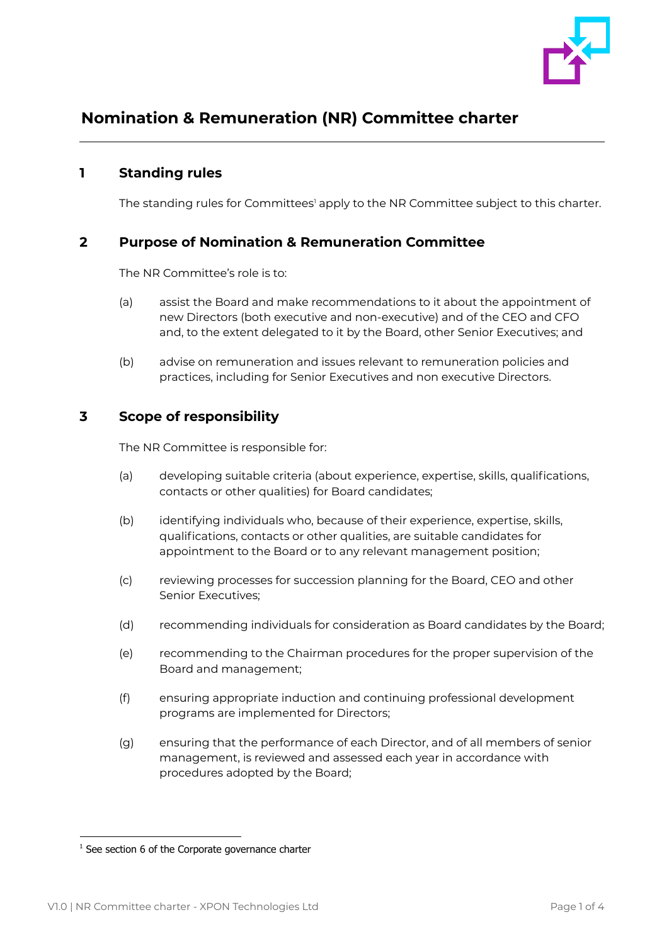

# **Nomination & Remuneration (NR) Committee charter**

# **1 Standing rules**

The standing rules for Committees' apply to the NR Committee subject to this charter.

## **2 Purpose of Nomination & Remuneration Committee**

The NR Committee's role is to:

- (a) assist the Board and make recommendations to it about the appointment of new Directors (both executive and non-executive) and of the CEO and CFO and, to the extent delegated to it by the Board, other Senior Executives; and
- (b) advise on remuneration and issues relevant to remuneration policies and practices, including for Senior Executives and non executive Directors.

# **3 Scope of responsibility**

The NR Committee is responsible for:

- (a) developing suitable criteria (about experience, expertise, skills, qualifications, contacts or other qualities) for Board candidates;
- (b) identifying individuals who, because of their experience, expertise, skills, qualifications, contacts or other qualities, are suitable candidates for appointment to the Board or to any relevant management position;
- (c) reviewing processes for succession planning for the Board, CEO and other Senior Executives;
- (d) recommending individuals for consideration as Board candidates by the Board;
- (e) recommending to the Chairman procedures for the proper supervision of the Board and management;
- (f) ensuring appropriate induction and continuing professional development programs are implemented for Directors;
- (g) ensuring that the performance of each Director, and of all members of senior management, is reviewed and assessed each year in accordance with procedures adopted by the Board;

 $1$  See section 6 of the Corporate governance charter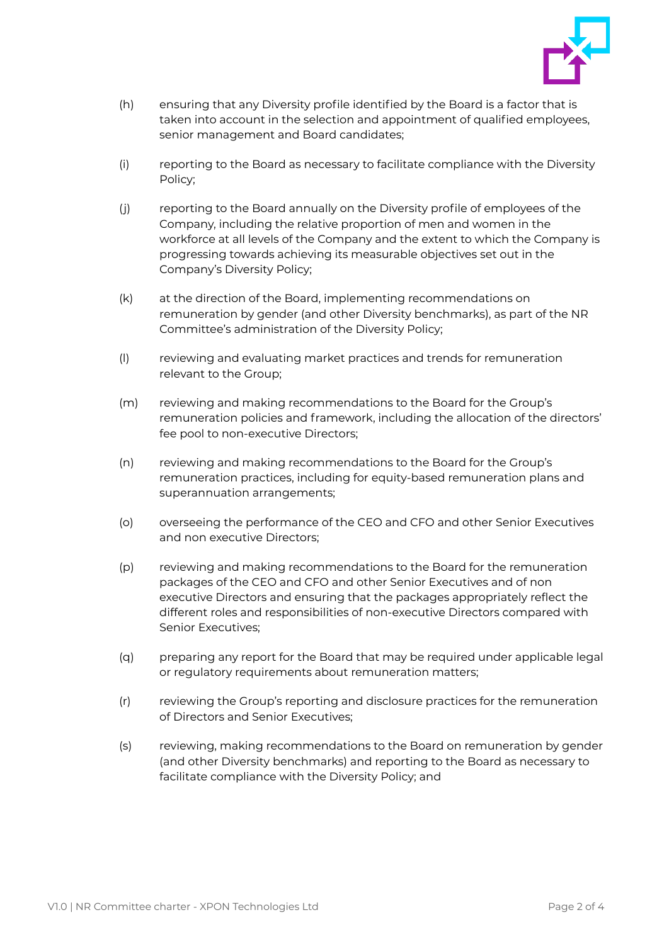

- (h) ensuring that any Diversity profile identified by the Board is a factor that is taken into account in the selection and appointment of qualified employees, senior management and Board candidates;
- (i) reporting to the Board as necessary to facilitate compliance with the Diversity Policy;
- (j) reporting to the Board annually on the Diversity profile of employees of the Company, including the relative proportion of men and women in the workforce at all levels of the Company and the extent to which the Company is progressing towards achieving its measurable objectives set out in the Company's Diversity Policy;
- (k) at the direction of the Board, implementing recommendations on remuneration by gender (and other Diversity benchmarks), as part of the NR Committee's administration of the Diversity Policy;
- (l) reviewing and evaluating market practices and trends for remuneration relevant to the Group;
- (m) reviewing and making recommendations to the Board for the Group's remuneration policies and framework, including the allocation of the directors' fee pool to non-executive Directors;
- (n) reviewing and making recommendations to the Board for the Group's remuneration practices, including for equity-based remuneration plans and superannuation arrangements;
- (o) overseeing the performance of the CEO and CFO and other Senior Executives and non executive Directors;
- (p) reviewing and making recommendations to the Board for the remuneration packages of the CEO and CFO and other Senior Executives and of non executive Directors and ensuring that the packages appropriately reflect the different roles and responsibilities of non-executive Directors compared with Senior Executives;
- (q) preparing any report for the Board that may be required under applicable legal or regulatory requirements about remuneration matters;
- (r) reviewing the Group's reporting and disclosure practices for the remuneration of Directors and Senior Executives;
- (s) reviewing, making recommendations to the Board on remuneration by gender (and other Diversity benchmarks) and reporting to the Board as necessary to facilitate compliance with the Diversity Policy; and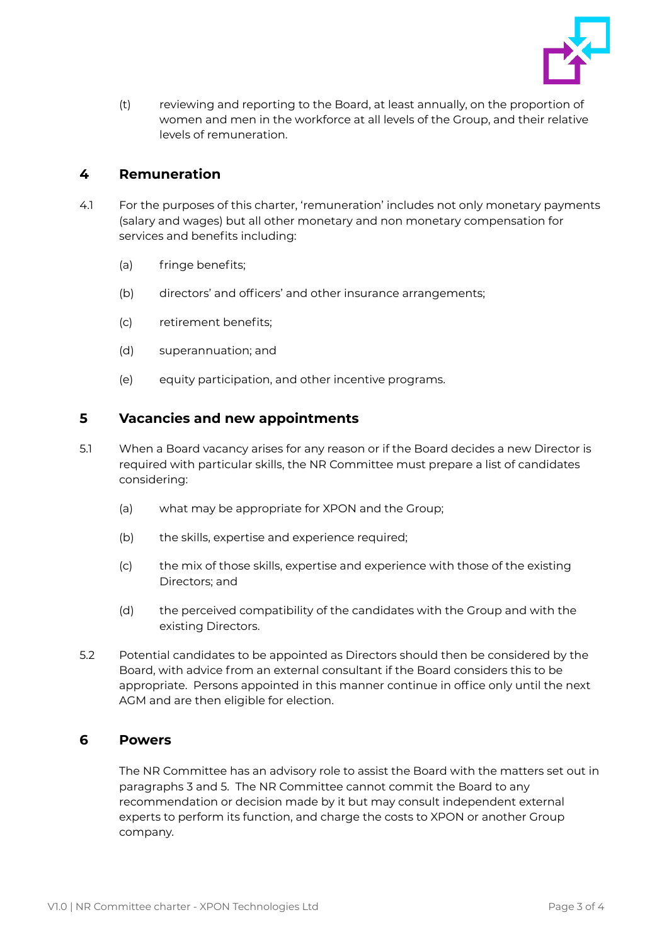

(t) reviewing and reporting to the Board, at least annually, on the proportion of women and men in the workforce at all levels of the Group, and their relative levels of remuneration.

# **4 Remuneration**

- 4.1 For the purposes of this charter, 'remuneration' includes not only monetary payments (salary and wages) but all other monetary and non monetary compensation for services and benefits including:
	- (a) fringe benefits;
	- (b) directors' and officers' and other insurance arrangements;
	- (c) retirement benefits;
	- (d) superannuation; and
	- (e) equity participation, and other incentive programs.

## **5 Vacancies and new appointments**

- 5.1 When a Board vacancy arises for any reason or if the Board decides a new Director is required with particular skills, the NR Committee must prepare a list of candidates considering:
	- (a) what may be appropriate for XPON and the Group;
	- (b) the skills, expertise and experience required;
	- (c) the mix of those skills, expertise and experience with those of the existing Directors; and
	- (d) the perceived compatibility of the candidates with the Group and with the existing Directors.
- 5.2 Potential candidates to be appointed as Directors should then be considered by the Board, with advice from an external consultant if the Board considers this to be appropriate. Persons appointed in this manner continue in office only until the next AGM and are then eligible for election.

#### **6 Powers**

The NR Committee has an advisory role to assist the Board with the matters set out in paragraphs 3 and 5. The NR Committee cannot commit the Board to any recommendation or decision made by it but may consult independent external experts to perform its function, and charge the costs to XPON or another Group company.